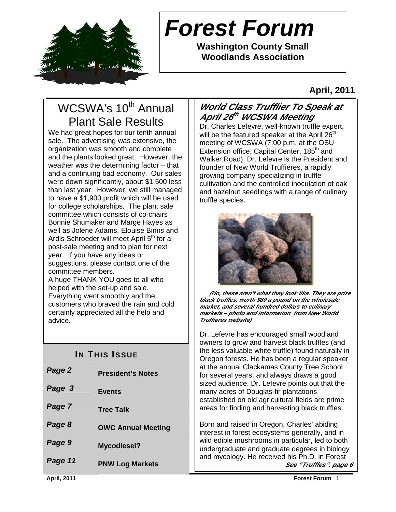

# **Forest Forum**

**Washington County Small Woodlands Association** 

**April, 2011** 

## WCSWA's 10<sup>th</sup> Annual Plant Sale Results

We had great hopes for our tenth annual sale. The advertising was extensive, the organization was smooth and complete and the plants looked great. However, the weather was the determining factor – that and a continuing bad economy. Our sales were down significantly, about \$1,500 less than last year. However, we still managed to have a \$1,900 profit which will be used for college scholarships. The plant sale committee which consists of co-chairs Bonnie Shumaker and Marge Hayes as well as Jolene Adams, Elouise Binns and Ardis Schroeder will meet April 5<sup>th</sup> for a post-sale meeting and to plan for next year. If you have any ideas or suggestions, please contact one of the committee members.

A huge THANK YOU goes to all who helped with the set-up and sale. Everything went smoothly and the customers who braved the rain and cold certainly appreciated all the help and advice.

| Page 2  | <b>President's Notes</b>  |
|---------|---------------------------|
| Page 3  | <b>Events</b>             |
| Page 7  | <b>Tree Talk</b>          |
| Page 8  | <b>OWC Annual Meeting</b> |
| Page 9  | <b>Mycodiesel?</b>        |
| Page 11 | <b>PNW Log Markets</b>    |

### **World Class Trufflier To Speak at April 26 th WCSWA Meeting**

Dr. Charles Lefevre, well-known truffle expert, will be the featured speaker at the April  $26<sup>th</sup>$ meeting of WCSWA (7:00 p.m. at the OSU Extension office, Capital Center, 185<sup>th</sup> and Walker Road). Dr. Lefevre is the President and founder of New World Truffieres, a rapidly growing company specializing in truffle cultivation and the controlled inoculation of oak and hazelnut seedlings with a range of culinary truffle species.



 **(No, these aren't what they look like. They are prize black truffles, worth \$80 a pound on the wholesale market, and several hundred dollars to culinary markets – photo and information from New World Truffieres website)** 

**Notes from the President**  owners to grow and harvest black truffles (and **IN THIS ISSUE IDENTIFY I** the less valuable white truffle) found naturally in  $\overline{C}$  or  $\overline{C}$  or  $\overline{C}$  and  $\overline{D}$  are been a requier speaker Dr. Lefevre has encouraged small woodland Oregon forests. He has been a regular speaker at the annual Clackamas County Tree School for several years, and always draws a good sized audience. Dr. Lefevre points out that the many acres of Douglas-fir plantations established on old agricultural fields are prime areas for finding and harvesting black truffles.

> Born and raised in Oregon, Charles' abiding interest in forest ecosystems generally, and in wild edible mushrooms in particular, led to both undergraduate and graduate degrees in biology and mycology. He received his Ph.D. in Forest **See "Truffles", page 6**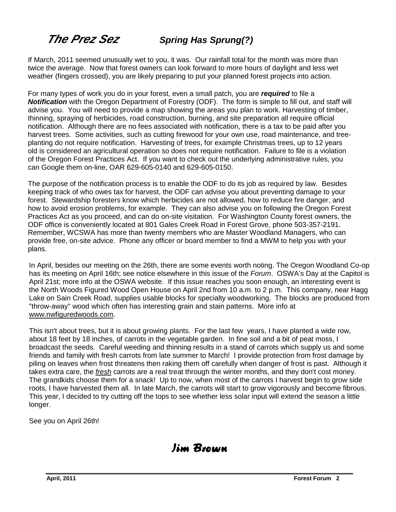If March, 2011 seemed unusually wet to you, it was. Our rainfall total for the month was more than twice the average. Now that forest owners can look forward to more hours of daylight and less wet weather (fingers crossed), you are likely preparing to put your planned forest projects into action.

For many types of work you do in your forest, even a small patch, you are **required** to file a **Notification** with the Oregon Department of Forestry (ODF). The form is simple to fill out, and staff will advise you. You will need to provide a map showing the areas you plan to work. Harvesting of timber, thinning, spraying of herbicides, road construction, burning, and site preparation all require official notification. Although there are no fees associated with notification, there is a tax to be paid after you harvest trees. Some activities, such as cutting firewood for your own use, road maintenance, and treeplanting do not require notification. Harvesting of trees, for example Christmas trees, up to 12 years old is considered an agricultural operation so does not require notification. Failure to file is a violation of the Oregon Forest Practices Act. If you want to check out the underlying administrative rules, you can Google them on-line, OAR 629-605-0140 and 629-605-0150.

The purpose of the notification process is to enable the ODF to do its job as required by law. Besides keeping track of who owes tax for harvest, the ODF can advise you about preventing damage to your forest. Stewardship foresters know which herbicides are not allowed, how to reduce fire danger, and how to avoid erosion problems, for example. They can also advise you on following the Oregon Forest Practices Act as you proceed, and can do on-site visitation. For Washington County forest owners, the ODF office is conveniently located at 801 Gales Creek Road in Forest Grove, phone 503-357-2191. Remember, WCSWA has more than twenty members who are Master Woodland Managers, who can provide free, on-site advice. Phone any officer or board member to find a MWM to help you with your plans.

In April, besides our meeting on the 26th, there are some events worth noting. The Oregon Woodland Co-op has its meeting on April 16th; see notice elsewhere in this issue of the Forum. OSWA's Day at the Capitol is April 21st; more info at the OSWA website. If this issue reaches you soon enough, an interesting event is the North Woods Figured Wood Open House on April 2nd from 10 a.m. to 2 p.m. This company, near Hagg Lake on Sain Creek Road, supplies usable blocks for specialty woodworking. The blocks are produced from "throw-away" wood which often has interesting grain and stain patterns. More info at www.nwfiguredwoods.com.

This isn't about trees, but it is about growing plants. For the last few years, I have planted a wide row, about 18 feet by 18 inches, of carrots in the vegetable garden. In fine soil and a bit of peat moss, I broadcast the seeds. Careful weeding and thinning results in a stand of carrots which supply us and some friends and family with fresh carrots from late summer to March! I provide protection from frost damage by piling on leaves when frost threatens then raking them off carefully when danger of frost is past. Although it takes extra care, the fresh carrots are a real treat through the winter months, and they don't cost money. The grandkids choose them for a snack! Up to now, when most of the carrots I harvest begin to grow side roots, I have harvested them all. In late March, the carrots will start to grow vigorously and become fibrous. This year, I decided to try cutting off the tops to see whether less solar input will extend the season a little longer.

See you on April 26th!

Jim Brown Jim Brown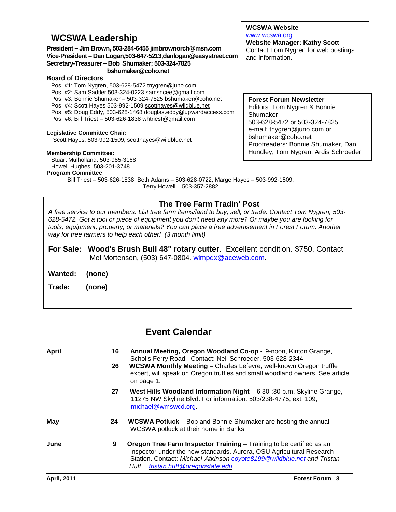### **WCSWA Leadership**

#### **President – Jim Brown, 503-284-6455 jimbrownorch@msn.com Vice-President – Dan Logan,503-647-5213,danlogan@easystreet.com Secretary-Treasurer – Bob Shumaker; 503-324-7825 bshumaker@coho.net**

#### **Board of Directors**:

- Pos. #1: Tom Nygren, 503-628-5472 tnygren@juno.com
- Pos. #2: Sam Sadtler 503-324-0223 samsncee@gmail.com
- Pos. #3: Bonnie Shumaker 503-324-7825 bshumaker@coho.net
- Pos. #4: Scott Hayes 503-992-1509 scotthayes@wildblue.net
- Pos. #5: Doug Eddy, 503-628-1468 douglas.eddy@upwardaccess.com
- Pos. #6: Bill Triest 503-626-1838 whtriest@gmail.com

#### **Legislative Committee Chair:**

Scott Hayes, 503-992-1509, scotthayes@wildblue.net

#### **Membership Committee:**

Stuart Mulholland, 503-985-3168 Howell Hughes, 503-201-3748 **Program Committee** 

Bill Triest – 503-626-1838; Beth Adams – 503-628-0722, Marge Hayes – 503-992-1509; Terry Howell – 503-357-2882

#### **The Tree Farm Tradin' Post**

A free service to our members: List tree farm items/land to buy, sell, or trade. Contact Tom Nygren, 503- 628-5472. Got a tool or piece of equipment you don't need any more? Or maybe you are looking for tools, equipment, property, or materials? You can place a free advertisement in Forest Forum. Another way for tree farmers to help each other! (3 month limit)

**For Sale: Wood's Brush Bull 48" rotary cutter**. Excellent condition. \$750. Contact Mel Mortensen, (503) 647-0804. wlmpdx@aceweb.com.

**Wanted: (none)** 

**Trade: (none)** 

### **Event Calendar**

| April | 16 | Annual Meeting, Oregon Woodland Co-op - 9-noon, Kinton Grange,<br>Scholls Ferry Road. Contact: Neil Schroeder, 503-628-2344                                                                                                                                           |  |  |
|-------|----|-----------------------------------------------------------------------------------------------------------------------------------------------------------------------------------------------------------------------------------------------------------------------|--|--|
|       | 26 | <b>WCSWA Monthly Meeting - Charles Lefevre, well-known Oregon truffle</b><br>expert, will speak on Oregon truffles and small woodland owners. See article<br>on page 1.                                                                                               |  |  |
|       | 27 | West Hills Woodland Information Night - 6:30-:30 p.m. Skyline Grange,<br>11275 NW Skyline Blvd. For information: 503/238-4775, ext. 109;<br>michael@wmswcd.org.                                                                                                       |  |  |
| May   | 24 | <b>WCSWA Potluck</b> – Bob and Bonnie Shumaker are hosting the annual<br>WCSWA potluck at their home in Banks                                                                                                                                                         |  |  |
| June  | 9  | <b>Oregon Tree Farm Inspector Training – Training to be certified as an</b><br>inspector under the new standards. Aurora, OSU Agricultural Research<br>Station. Contact: Michael Atkinson coyote8199@wildblue.net and Tristan<br>tristan.huff@oregonstate.edu<br>Huff |  |  |

#### **WCSWA Website**

www.wcswa.org

Shumaker

**Website Manager: Kathy Scott** Contact Tom Nygren for web postings and information.

**Forest Forum Newsletter** Editors: Tom Nygren & Bonnie

503-628-5472 or 503-324-7825 e-mail: tnygren@juno.com or bshumaker@coho.net

Proofreaders: Bonnie Shumaker, Dan Hundley, Tom Nygren, Ardis Schroeder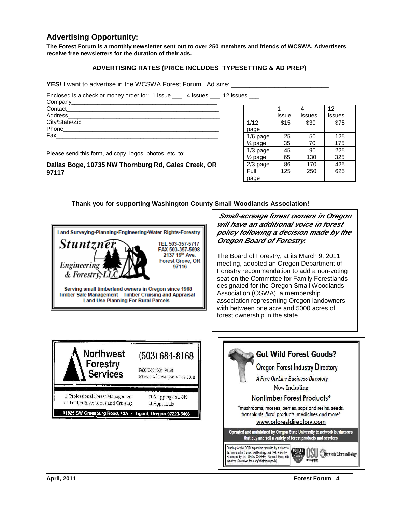#### **Advertising Opportunity:**

**The Forest Forum is a monthly newsletter sent out to over 250 members and friends of WCSWA. Advertisers receive free newsletters for the duration of their ads.** 

#### **ADVERTISING RATES (PRICE INCLUDES TYPESETTING & AD PREP)**

**YES!** I want to advertise in the WCSWA Forest Forum. Ad size:

Enclosed is a check or money order for: 1 issue \_\_\_ 4 issues \_\_\_ 12 issues \_\_\_

| Company__________ |  |
|-------------------|--|
| Contact           |  |
| Address           |  |
| City/State/Zip_   |  |
| Phone             |  |
| Fax               |  |
|                   |  |

Please send this form, ad copy, logos, photos, etc. to:

**Dallas Boge, 10735 NW Thornburg Rd, Gales Creek, OR 97117** 

|                    |       | 4      | 12     |
|--------------------|-------|--------|--------|
|                    | issue | issues | issues |
| 1/12               | \$15  | \$30   | \$75   |
| page               |       |        |        |
| $1/6$ page         | 25    | 50     | 125    |
| 1⁄4 page           | 35    | 70     | 175    |
| $1/3$ page         | 45    | 90     | 225    |
| $\frac{1}{2}$ page | 65    | 130    | 325    |
| 2/3 page           | 86    | 170    | 425    |
| Full               | 125   | 250    | 625    |
| page               |       |        |        |

#### **Thank you for supporting Washington County Small Woodlands Association!**



**Small-acreage forest owners in Oregon will have an additional voice in forest policy following a decision made by the Oregon Board of Forestry.** 

The Board of Forestry, at its March 9, 2011 meeting, adopted an Oregon Department of Forestry recommendation to add a non-voting seat on the Committee for Family Forestlands designated for the Oregon Small Woodlands Association (OSWA), a membership association representing Oregon landowners with between one acre and 5000 acres of forest ownership in the state.



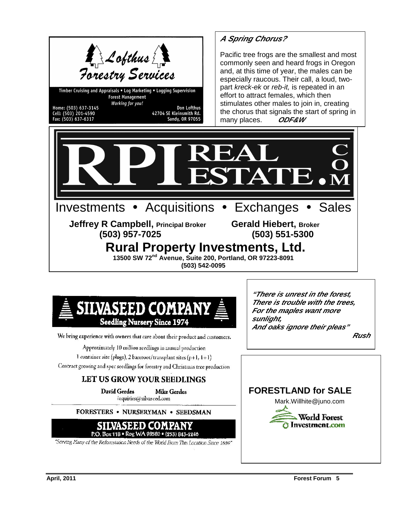

Timber Cruising and Appraisals . Log Marketing . Logging Supervision **Forest Management** Working for you!

Home: (503) 637-3145 Cell: (503) 201-4590<br>Fax: (503) 637-6317

Don Lofthus 42704 SE Kleinsmith Rd.<br>Sandy, OR 97055

### **A Spring Chorus?**

Pacific tree frogs are the smallest and most commonly seen and heard frogs in Oregon and, at this time of year, the males can be especially raucous. Their call, a loud, twopart kreck-ek or reb-it, is repeated in an effort to attract females, which then stimulates other males to join in, creating the chorus that signals the start of spring in many places. **ODF&W** 





We bring experience with owners that care about their product and customers.

Approximately 10 million seedlings in annual production

1 container site (plugs), 2 bareroot/transplant sites (p+1, 1+1)

Contract growing and spec seedlings for forestry and Christmas tree production

### LET US GROW YOUR SEEDLINGS

**David Gerdes Mike Gerdes** inquiries@silvaseed.com

FORESTERS . NURSERYMAN . SEEDSMAN



"Serving Many of the Reforestation Needs of the World From This Location Since 1889"

**"There is unrest in the forest, There is trouble with the trees, For the maples want more sunlight, And oaks ignore their pleas" Rush**

### **FORESTLAND for SALE**



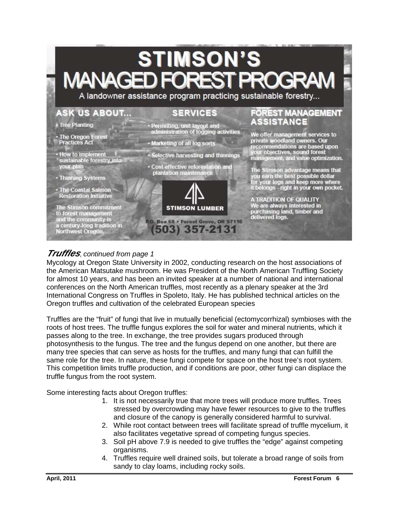

### **Truffles**, continued from page 1

Mycology at Oregon State University in 2002, conducting research on the host associations of the American Matsutake mushroom. He was President of the North American Truffling Society for almost 10 years, and has been an invited speaker at a number of national and international conferences on the North American truffles, most recently as a plenary speaker at the 3rd International Congress on Truffles in Spoleto, Italy. He has published technical articles on the Oregon truffles and cultivation of the celebrated European species

Truffles are the "fruit" of fungi that live in mutually beneficial (ectomycorrhizal) symbioses with the roots of host trees. The truffle fungus explores the soil for water and mineral nutrients, which it passes along to the tree. In exchange, the tree provides sugars produced through photosynthesis to the fungus. The tree and the fungus depend on one another, but there are many tree species that can serve as hosts for the truffles, and many fungi that can fulfill the same role for the tree. In nature, these fungi compete for space on the host tree's root system. This competition limits truffle production, and if conditions are poor, other fungi can displace the truffle fungus from the root system.

Some interesting facts about Oregon truffles:

- 1. It is not necessarily true that more trees will produce more truffles. Trees stressed by overcrowding may have fewer resources to give to the truffles and closure of the canopy is generally considered harmful to survival.
- 2. While root contact between trees will facilitate spread of truffle mycelium, it also facilitates vegetative spread of competing fungus species.
- 3. Soil pH above 7.9 is needed to give truffles the "edge" against competing organisms.
- 4. Truffles require well drained soils, but tolerate a broad range of soils from sandy to clay loams, including rocky soils.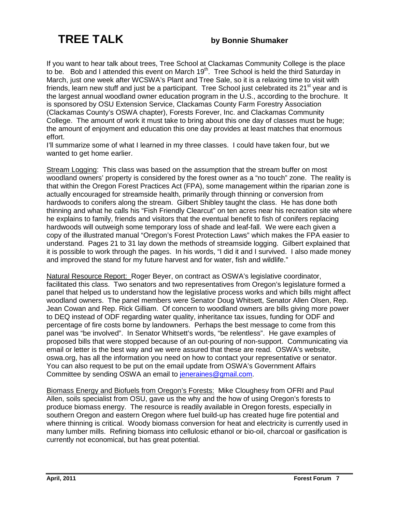# **TREE TALK by Bonnie Shumaker**

If you want to hear talk about trees, Tree School at Clackamas Community College is the place to be. Bob and I attended this event on March 19<sup>th</sup>. Tree School is held the third Saturday in March, just one week after WCSWA's Plant and Tree Sale, so it is a relaxing time to visit with friends, learn new stuff and just be a participant. Tree School just celebrated its  $21<sup>st</sup>$  year and is the largest annual woodland owner education program in the U.S., according to the brochure. It is sponsored by OSU Extension Service, Clackamas County Farm Forestry Association (Clackamas County's OSWA chapter), Forests Forever, Inc. and Clackamas Community College. The amount of work it must take to bring about this one day of classes must be huge; the amount of enjoyment and education this one day provides at least matches that enormous effort.

I'll summarize some of what I learned in my three classes. I could have taken four, but we wanted to get home earlier.

Stream Logging: This class was based on the assumption that the stream buffer on most woodland owners' property is considered by the forest owner as a "no touch" zone. The reality is that within the Oregon Forest Practices Act (FPA), some management within the riparian zone is actually encouraged for streamside health, primarily through thinning or conversion from hardwoods to conifers along the stream. Gilbert Shibley taught the class. He has done both thinning and what he calls his "Fish Friendly Clearcut" on ten acres near his recreation site where he explains to family, friends and visitors that the eventual benefit to fish of conifers replacing hardwoods will outweigh some temporary loss of shade and leaf-fall. We were each given a copy of the illustrated manual "Oregon's Forest Protection Laws" which makes the FPA easier to understand. Pages 21 to 31 lay down the methods of streamside logging. Gilbert explained that it is possible to work through the pages. In his words, "I did it and I survived. I also made money and improved the stand for my future harvest and for water, fish and wildlife."

Natural Resource Report: Roger Beyer, on contract as OSWA's legislative coordinator, facilitated this class. Two senators and two representatives from Oregon's legislature formed a panel that helped us to understand how the legislative process works and which bills might affect woodland owners. The panel members were Senator Doug Whitsett, Senator Allen Olsen, Rep. Jean Cowan and Rep. Rick Gilliam. Of concern to woodland owners are bills giving more power to DEQ instead of ODF regarding water quality, inheritance tax issues, funding for ODF and percentage of fire costs borne by landowners. Perhaps the best message to come from this panel was "be involved". In Senator Whitsett's words, "be relentless". He gave examples of proposed bills that were stopped because of an out-pouring of non-support. Communicating via email or letter is the best way and we were assured that these are read. OSWA's website, oswa.org, has all the information you need on how to contact your representative or senator. You can also request to be put on the email update from OSWA's Government Affairs Committee by sending OSWA an email to *ieneraines@gmail.com.* 

Biomass Energy and Biofuels from Oregon's Forests: Mike Cloughesy from OFRI and Paul Allen, soils specialist from OSU, gave us the why and the how of using Oregon's forests to produce biomass energy. The resource is readily available in Oregon forests, especially in southern Oregon and eastern Oregon where fuel build-up has created huge fire potential and where thinning is critical. Woody biomass conversion for heat and electricity is currently used in many lumber mills. Refining biomass into cellulosic ethanol or bio-oil, charcoal or gasification is currently not economical, but has great potential.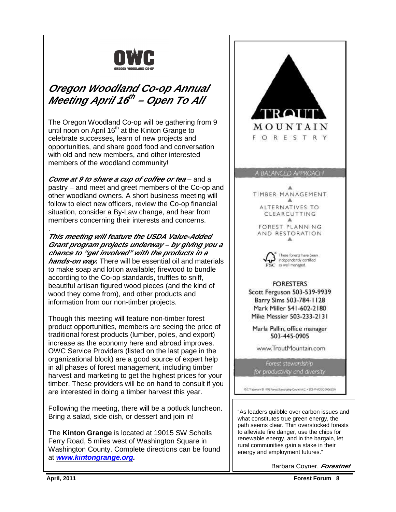

### **Oregon Woodland Co-op Annual Meeting April 16 th – Open To All**

The Oregon Woodland Co-op will be gathering from 9 until noon on April  $16<sup>th</sup>$  at the Kinton Grange to celebrate successes, learn of new projects and opportunities, and share good food and conversation with old and new members, and other interested members of the woodland community!

**Come at 9 to share a cup of coffee or tea** – and a pastry – and meet and greet members of the Co-op and other woodland owners. A short business meeting will follow to elect new officers, review the Co-op financial situation, consider a By-Law change, and hear from members concerning their interests and concerns.

. **This meeting will feature the USDA Value-Added Grant program projects underway – by giving you a chance to "get involved" with the products in a hands-on way.** There will be essential oil and materials to make soap and lotion available; firewood to bundle according to the Co-op standards, truffles to sniff, beautiful artisan figured wood pieces (and the kind of wood they come from), and other products and information from our non-timber projects.

 are interested in doing a timber harvest this year. Though this meeting will feature non-timber forest product opportunities, members are seeing the price of traditional forest products (lumber, poles, and export) increase as the economy here and abroad improves. OWC Service Providers (listed on the last page in the organizational block) are a good source of expert help in all phases of forest management, including timber harvest and marketing to get the highest prices for your timber. These providers will be on hand to consult if you

Following the meeting, there will be a potluck luncheon. Bring a salad, side dish, or dessert and join in!

The **Kinton Grange** is located at 19015 SW Scholls Ferry Road, 5 miles west of Washington Square in Washington County. Complete directions can be found at **www.kintongrange.org.** 

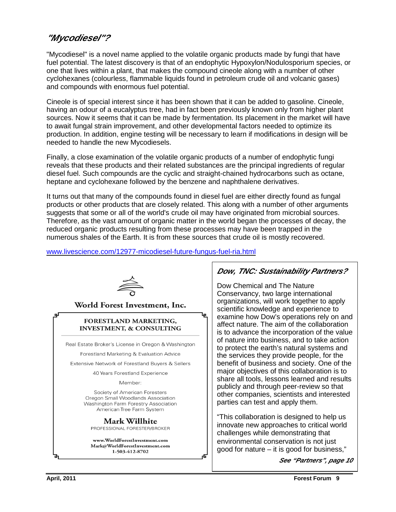### **"Mycodiesel"?**

"Mycodiesel" is a novel name applied to the volatile organic products made by fungi that have fuel potential. The latest discovery is that of an endophytic Hypoxylon/Nodulosporium species, or one that lives within a plant, that makes the compound cineole along with a number of other cyclohexanes (colourless, flammable liquids found in petroleum crude oil and volcanic gases) and compounds with enormous fuel potential.

Cineole is of special interest since it has been shown that it can be added to gasoline. Cineole, having an odour of a eucalyptus tree, had in fact been previously known only from higher plant sources. Now it seems that it can be made by fermentation. Its placement in the market will have to await fungal strain improvement, and other developmental factors needed to optimize its production. In addition, engine testing will be necessary to learn if modifications in design will be needed to handle the new Mycodiesels.

Finally, a close examination of the volatile organic products of a number of endophytic fungi reveals that these products and their related substances are the principal ingredients of regular diesel fuel. Such compounds are the cyclic and straight-chained hydrocarbons such as octane, heptane and cyclohexane followed by the benzene and naphthalene derivatives.

It turns out that many of the compounds found in diesel fuel are either directly found as fungal products or other products that are closely related. This along with a number of other arguments suggests that some or all of the world's crude oil may have originated from microbial sources. Therefore, as the vast amount of organic matter in the world began the processes of decay, the reduced organic products resulting from these processes may have been trapped in the numerous shales of the Earth. It is from these sources that crude oil is mostly recovered.

#### www.livescience.com/12977-micodiesel-future-fungus-fuel-ria.html



World Forest Investment, Inc.

#### FORESTLAND MARKETING, **INVESTMENT, & CONSULTING**

Real Estate Broker's License in Oregon & Washington

Forestland Marketing & Evaluation Advice

Extensive Network of Forestland Buyers & Sellers

40 Years Forestland Experience

Member:

Society of American Foresters Oregon Small Woodlands Association Washington Farm Forestry Association American Tree Farm System

**Mark Willhite** PROFESSIONAL FORESTER/BROKER

www.WorldForestInvestment.com Mark@WorldForestInvestment.com 1-503-412-8702

#### **Dow, TNC: Sustainability Partners?**

Dow Chemical and The Nature Conservancy, two large international organizations, will work together to apply scientific knowledge and experience to examine how Dow's operations rely on and affect nature. The aim of the collaboration is to advance the incorporation of the value of nature into business, and to take action to protect the earth's natural systems and the services they provide people, for the benefit of business and society. One of the major objectives of this collaboration is to share all tools, lessons learned and results publicly and through peer-review so that other companies, scientists and interested parties can test and apply them.

"This collaboration is designed to help us innovate new approaches to critical world challenges while demonstrating that environmental conservation is not just good for nature – it is good for business,"

**See "Partners", page 10**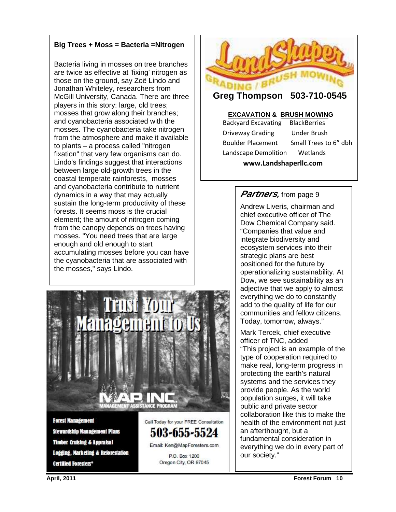#### **Big Trees + Moss = Bacteria =Nitrogen**

Bacteria living in mosses on tree branches are twice as effective at 'fixing' nitrogen as those on the ground, say Zoë Lindo and Jonathan Whiteley, researchers from McGill University, Canada. There are three players in this story: large, old trees; mosses that grow along their branches; and cyanobacteria associated with the mosses. The cyanobacteria take nitrogen from the atmosphere and make it available to plants – a process called "nitrogen fixation" that very few organisms can do. Lindo's findings suggest that interactions between large old-growth trees in the coastal temperate rainforests, mosses and cyanobacteria contribute to nutrient dynamics in a way that may actually sustain the long-term productivity of these forests. It seems moss is the crucial element; the amount of nitrogen coming from the canopy depends on trees having mosses. "You need trees that are large enough and old enough to start accumulating mosses before you can have the cyanobacteria that are associated with the mosses," says Lindo.



**Forest Management Stewardship Management Plans Timber Cruising & Appraisal** Logging, Marketing & Reforestation **Certified Foresters\*** 

Call Today for your FREE Consultation 503-655-5524 Email: Ken@MapForesters.com

> P.O. Box 1200 Oregon City, OR 97045



 **Greg Thompson 503-710-0545** 

## **EXCAVATION & BRUSH MOWING**<br>ackvard Excavating BlackBerries

Backyard Excavating Landscape Demolition Wetlands

Driveway Grading Under Brush Boulder Placement Small Trees to 6" dbh

www.Landshaperllc.com

### **Partners,** from page 9

Andrew Liveris, chairman and chief executive officer of The Dow Chemical Company said. "Companies that value and integrate biodiversity and ecosystem services into their strategic plans are best positioned for the future by operationalizing sustainability. At Dow, we see sustainability as an adjective that we apply to almost everything we do to constantly add to the quality of life for our communities and fellow citizens. Today, tomorrow, always."

Mark Tercek, chief executive officer of TNC, added "This project is an example of the type of cooperation required to make real, long-term progress in protecting the earth's natural systems and the services they provide people. As the world population surges, it will take public and private sector collaboration like this to make the health of the environment not just an afterthought, but a fundamental consideration in everything we do in every part of our society."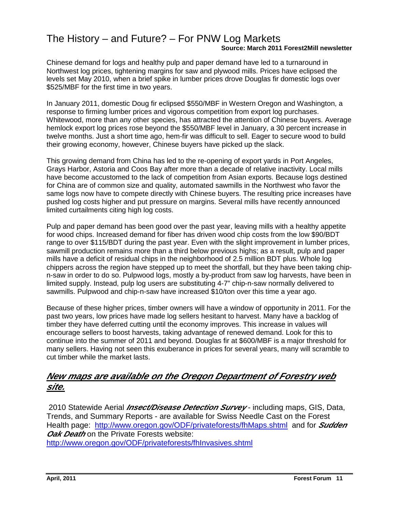### The History – and Future? – For PNW Log Markets **Source: March 2011 Forest2Mill newsletter**

Chinese demand for logs and healthy pulp and paper demand have led to a turnaround in Northwest log prices, tightening margins for saw and plywood mills. Prices have eclipsed the levels set May 2010, when a brief spike in lumber prices drove Douglas fir domestic logs over \$525/MBF for the first time in two years.

In January 2011, domestic Doug fir eclipsed \$550/MBF in Western Oregon and Washington, a response to firming lumber prices and vigorous competition from export log purchases. Whitewood, more than any other species, has attracted the attention of Chinese buyers. Average hemlock export log prices rose beyond the \$550/MBF level in January, a 30 percent increase in twelve months. Just a short time ago, hem-fir was difficult to sell. Eager to secure wood to build their growing economy, however, Chinese buyers have picked up the slack.

This growing demand from China has led to the re-opening of export yards in Port Angeles, Grays Harbor, Astoria and Coos Bay after more than a decade of relative inactivity. Local mills have become accustomed to the lack of competition from Asian exports. Because logs destined for China are of common size and quality, automated sawmills in the Northwest who favor the same logs now have to compete directly with Chinese buyers. The resulting price increases have pushed log costs higher and put pressure on margins. Several mills have recently announced limited curtailments citing high log costs.

Pulp and paper demand has been good over the past year, leaving mills with a healthy appetite for wood chips. Increased demand for fiber has driven wood chip costs from the low \$90/BDT range to over \$115/BDT during the past year. Even with the slight improvement in lumber prices, sawmill production remains more than a third below previous highs; as a result, pulp and paper mills have a deficit of residual chips in the neighborhood of 2.5 million BDT plus. Whole log chippers across the region have stepped up to meet the shortfall, but they have been taking chipn-saw in order to do so. Pulpwood logs, mostly a by-product from saw log harvests, have been in limited supply. Instead, pulp log users are substituting 4-7" chip-n-saw normally delivered to sawmills. Pulpwood and chip-n-saw have increased \$10/ton over this time a year ago.

Because of these higher prices, timber owners will have a window of opportunity in 2011. For the past two years, low prices have made log sellers hesitant to harvest. Many have a backlog of timber they have deferred cutting until the economy improves. This increase in values will encourage sellers to boost harvests, taking advantage of renewed demand. Look for this to continue into the summer of 2011 and beyond. Douglas fir at \$600/MBF is a major threshold for many sellers. Having not seen this exuberance in prices for several years, many will scramble to cut timber while the market lasts.

### **New maps are available on the Oregon Department of Forestry web site.**

 2010 Statewide Aerial **Insect/Disease Detection Survey** - including maps, GIS, Data, Trends, and Summary Reports - are available for Swiss Needle Cast on the Forest Health page: http://www.oregon.gov/ODF/privateforests/fhMaps.shtml and for **Sudden**  *Oak Death* on the Private Forests website: http://www.oregon.gov/ODF/privateforests/fhInvasives.shtml